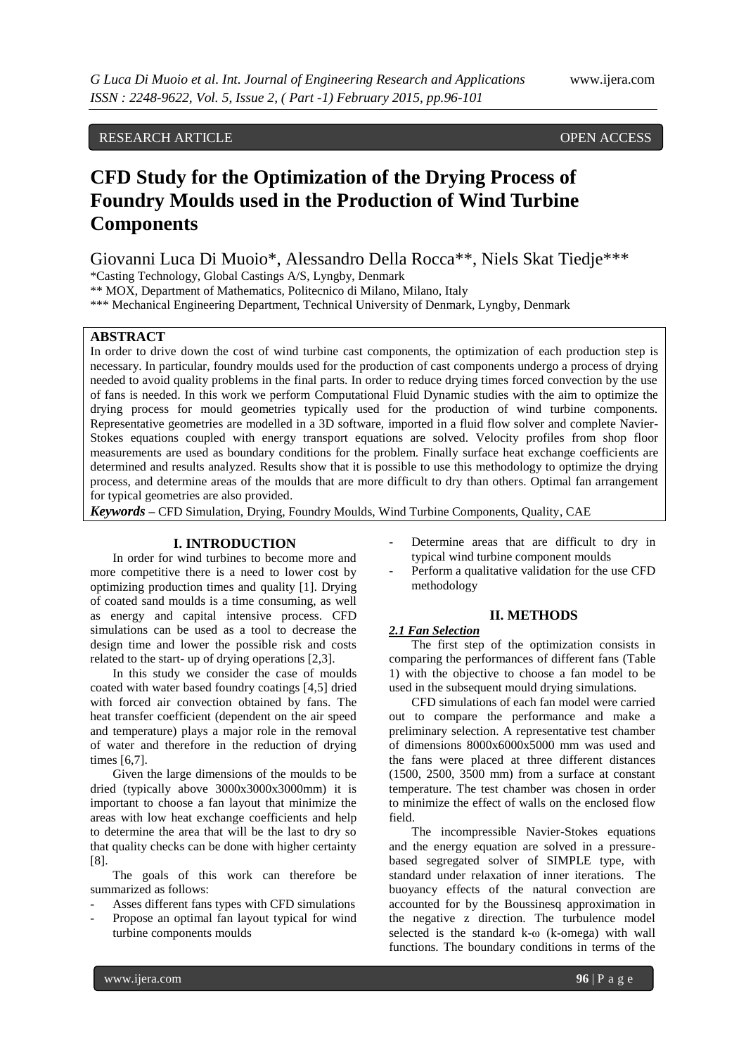## RESEARCH ARTICLE OPEN ACCESS

# **CFD Study for the Optimization of the Drying Process of Foundry Moulds used in the Production of Wind Turbine Components**

Giovanni Luca Di Muoio\*, Alessandro Della Rocca\*\*, Niels Skat Tiedje\*\*\*

\*Casting Technology, Global Castings A/S, Lyngby, Denmark

\*\* MOX, Department of Mathematics, Politecnico di Milano, Milano, Italy

\*\*\* Mechanical Engineering Department, Technical University of Denmark, Lyngby, Denmark

## **ABSTRACT**

In order to drive down the cost of wind turbine cast components, the optimization of each production step is necessary. In particular, foundry moulds used for the production of cast components undergo a process of drying needed to avoid quality problems in the final parts. In order to reduce drying times forced convection by the use of fans is needed. In this work we perform Computational Fluid Dynamic studies with the aim to optimize the drying process for mould geometries typically used for the production of wind turbine components. Representative geometries are modelled in a 3D software, imported in a fluid flow solver and complete Navier-Stokes equations coupled with energy transport equations are solved. Velocity profiles from shop floor measurements are used as boundary conditions for the problem. Finally surface heat exchange coefficients are determined and results analyzed. Results show that it is possible to use this methodology to optimize the drying process, and determine areas of the moulds that are more difficult to dry than others. Optimal fan arrangement for typical geometries are also provided.

*Keywords* **–** CFD Simulation, Drying, Foundry Moulds, Wind Turbine Components, Quality, CAE

## **I. INTRODUCTION**

In order for wind turbines to become more and more competitive there is a need to lower cost by optimizing production times and quality [1]. Drying of coated sand moulds is a time consuming, as well as energy and capital intensive process. CFD simulations can be used as a tool to decrease the design time and lower the possible risk and costs related to the start- up of drying operations [2,3].

In this study we consider the case of moulds coated with water based foundry coatings [4,5] dried with forced air convection obtained by fans. The heat transfer coefficient (dependent on the air speed and temperature) plays a major role in the removal of water and therefore in the reduction of drying times [6,7].

Given the large dimensions of the moulds to be dried (typically above 3000x3000x3000mm) it is important to choose a fan layout that minimize the areas with low heat exchange coefficients and help to determine the area that will be the last to dry so that quality checks can be done with higher certainty [8].

The goals of this work can therefore be summarized as follows:

- Asses different fans types with CFD simulations
- Propose an optimal fan layout typical for wind turbine components moulds
- Determine areas that are difficult to dry in typical wind turbine component moulds
- Perform a qualitative validation for the use CFD methodology

## **II. METHODS**

## *2.1 Fan Selection*

The first step of the optimization consists in comparing the performances of different fans (Table 1) with the objective to choose a fan model to be used in the subsequent mould drying simulations.

CFD simulations of each fan model were carried out to compare the performance and make a preliminary selection. A representative test chamber of dimensions 8000x6000x5000 mm was used and the fans were placed at three different distances (1500, 2500, 3500 mm) from a surface at constant temperature. The test chamber was chosen in order to minimize the effect of walls on the enclosed flow field.

The incompressible Navier-Stokes equations and the energy equation are solved in a pressurebased segregated solver of SIMPLE type, with standard under relaxation of inner iterations. The buoyancy effects of the natural convection are accounted for by the Boussinesq approximation in the negative z direction. The turbulence model selected is the standard k-ω (k-omega) with wall functions. The boundary conditions in terms of the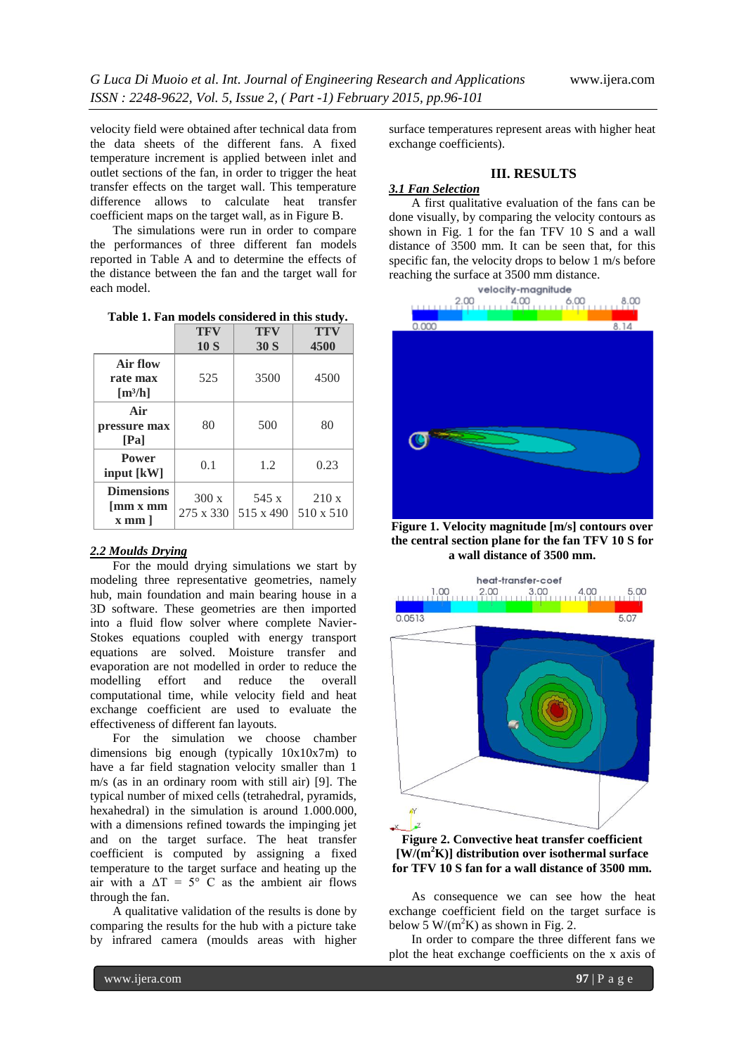velocity field were obtained after technical data from the data sheets of the different fans. A fixed temperature increment is applied between inlet and outlet sections of the fan, in order to trigger the heat transfer effects on the target wall. This temperature difference allows to calculate heat transfer coefficient maps on the target wall, as in Figure B.

The simulations were run in order to compare the performances of three different fan models reported in Table A and to determine the effects of the distance between the fan and the target wall for each model.

**Table 1. Fan models considered in this study.**

|                                                                           | TFV<br>10S        | TFV<br>30S         | <b>TTV</b><br>4500 |
|---------------------------------------------------------------------------|-------------------|--------------------|--------------------|
| Air flow<br>rate max<br>$\lceil m^3/h \rceil$                             | 525               | 3500               | 4500               |
| Air<br>pressure max<br>[Pa]                                               | 80                | 500                | 80                 |
| <b>Power</b><br>input [kW]                                                | 0.1               | 1.2                | 0.23               |
| <b>Dimensions</b><br>$\left[\min x \min \right]$<br>$x$ mm $\overline{a}$ | 300x<br>275 x 330 | 545 x<br>515 x 490 | 210x<br>510 x 510  |

#### *2.2 Moulds Drying*

For the mould drying simulations we start by modeling three representative geometries, namely hub, main foundation and main bearing house in a 3D software. These geometries are then imported into a fluid flow solver where complete Navier-Stokes equations coupled with energy transport equations are solved. Moisture transfer and evaporation are not modelled in order to reduce the modelling effort and reduce the overall computational time, while velocity field and heat exchange coefficient are used to evaluate the effectiveness of different fan layouts.

For the simulation we choose chamber dimensions big enough (typically 10x10x7m) to have a far field stagnation velocity smaller than 1 m/s (as in an ordinary room with still air) [9]. The typical number of mixed cells (tetrahedral, pyramids, hexahedral) in the simulation is around 1.000.000, with a dimensions refined towards the impinging jet and on the target surface. The heat transfer coefficient is computed by assigning a fixed temperature to the target surface and heating up the air with a  $\Delta T = 5^{\circ}$  C as the ambient air flows through the fan.

A qualitative validation of the results is done by comparing the results for the hub with a picture take by infrared camera (moulds areas with higher

surface temperatures represent areas with higher heat exchange coefficients).

## **III. RESULTS**

## *3.1 Fan Selection*

A first qualitative evaluation of the fans can be done visually, by comparing the velocity contours as shown in Fig. 1 for the fan TFV 10 S and a wall distance of 3500 mm. It can be seen that, for this specific fan, the velocity drops to below 1 m/s before reaching the surface at 3500 mm distance.



**Figure 1. Velocity magnitude [m/s] contours over the central section plane for the fan TFV 10 S for a wall distance of 3500 mm.**



**Figure 2. Convective heat transfer coefficient [W/(m<sup>2</sup>K)] distribution over isothermal surface for TFV 10 S fan for a wall distance of 3500 mm.**

As consequence we can see how the heat exchange coefficient field on the target surface is below 5 W/( $m^2K$ ) as shown in Fig. 2.

In order to compare the three different fans we plot the heat exchange coefficients on the x axis of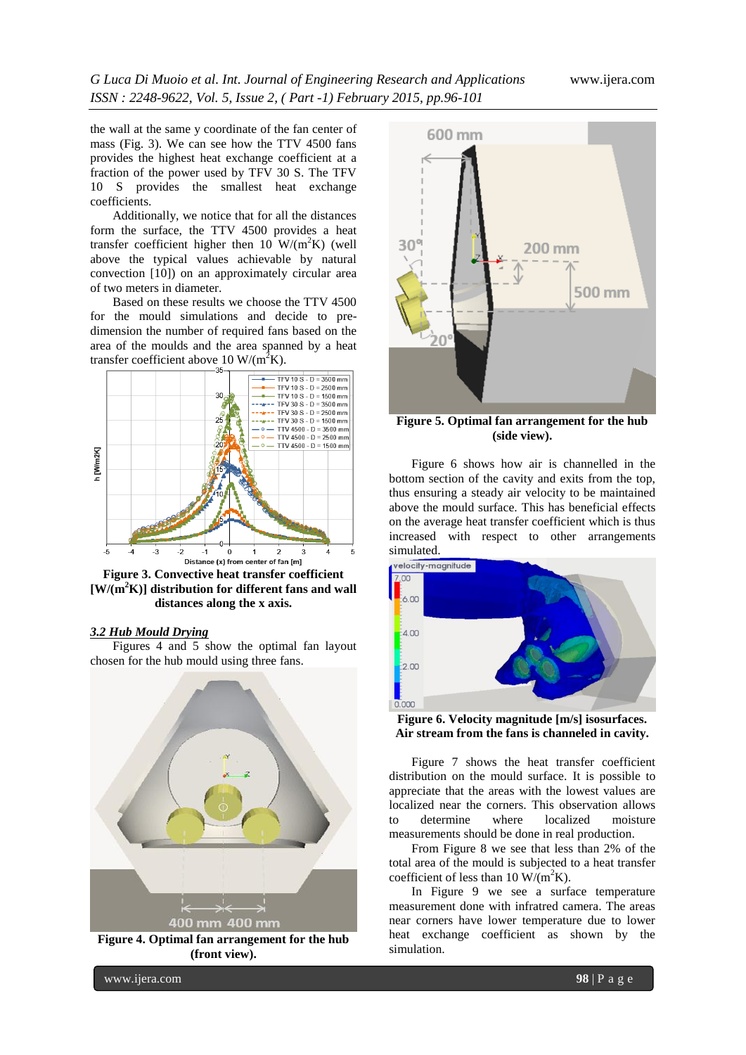the wall at the same y coordinate of the fan center of mass (Fig. 3). We can see how the TTV 4500 fans provides the highest heat exchange coefficient at a fraction of the power used by TFV 30 S. The TFV 10 S provides the smallest heat exchange coefficients.

Additionally, we notice that for all the distances form the surface, the TTV 4500 provides a heat transfer coefficient higher then 10  $W/(m^2K)$  (well above the typical values achievable by natural convection [10]) on an approximately circular area of two meters in diameter.

Based on these results we choose the TTV 4500 for the mould simulations and decide to predimension the number of required fans based on the area of the moulds and the area spanned by a heat transfer coefficient above 10 W/( $m^2K$ ).



**Figure 3. Convective heat transfer coefficient [W/(m <sup>2</sup>K)] distribution for different fans and wall distances along the x axis.**

Figures 4 and 5 show the optimal fan layout

## *3.2 Hub Mould Drying*

chosen for the hub mould using three fans. 400 mm 400 mm

**Figure 4. Optimal fan arrangement for the hub (front view).**



**Figure 5. Optimal fan arrangement for the hub (side view).**

Figure 6 shows how air is channelled in the bottom section of the cavity and exits from the top, thus ensuring a steady air velocity to be maintained above the mould surface. This has beneficial effects on the average heat transfer coefficient which is thus increased with respect to other arrangements



**Figure 6. Velocity magnitude [m/s] isosurfaces. Air stream from the fans is channeled in cavity.**

Figure 7 shows the heat transfer coefficient distribution on the mould surface. It is possible to appreciate that the areas with the lowest values are localized near the corners. This observation allows to determine where localized moisture measurements should be done in real production.

From Figure 8 we see that less than 2% of the total area of the mould is subjected to a heat transfer coefficient of less than 10 W/( $m^2K$ ).

In Figure 9 we see a surface temperature measurement done with infratred camera. The areas near corners have lower temperature due to lower heat exchange coefficient as shown by the simulation.

www.ijera.com **98** | P a g e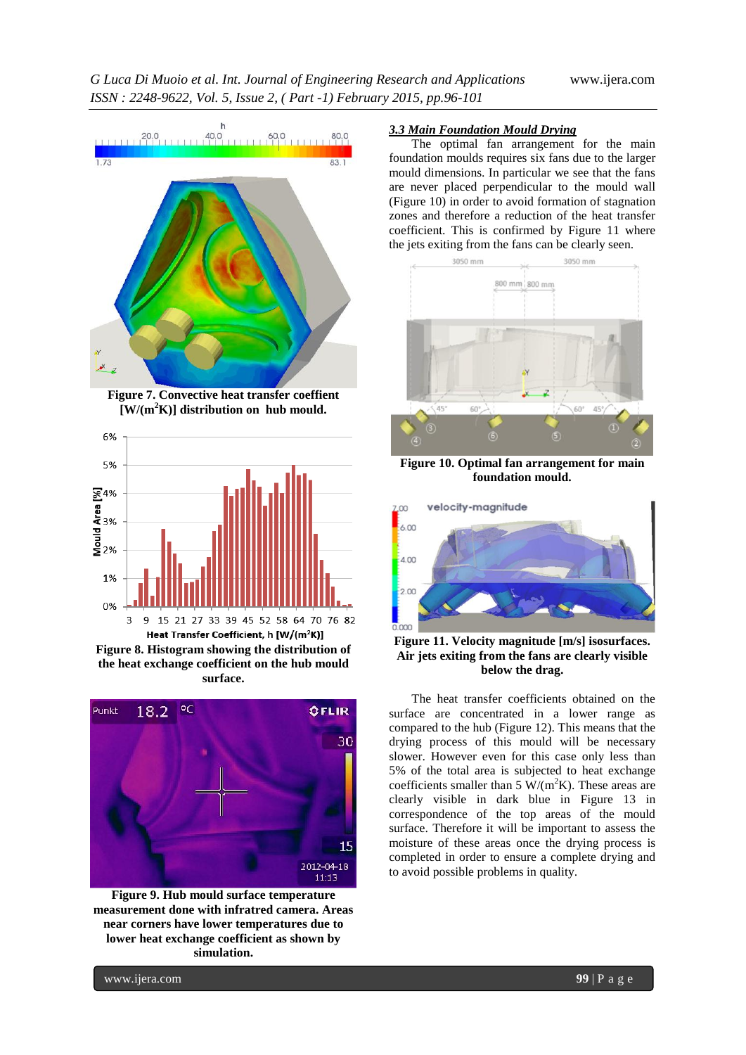

**Figure 7. Convective heat transfer coeffient [W/(m<sup>2</sup>K)] distribution on hub mould.**



**Figure 8. Histogram showing the distribution of the heat exchange coefficient on the hub mould surface.**



**Figure 9. Hub mould surface temperature measurement done with infratred camera. Areas near corners have lower temperatures due to lower heat exchange coefficient as shown by simulation.**

## *3.3 Main Foundation Mould Drying*

The optimal fan arrangement for the main foundation moulds requires six fans due to the larger mould dimensions. In particular we see that the fans are never placed perpendicular to the mould wall (Figure 10) in order to avoid formation of stagnation zones and therefore a reduction of the heat transfer coefficient. This is confirmed by Figure 11 where the jets exiting from the fans can be clearly seen.



**Figure 10. Optimal fan arrangement for main foundation mould.**



**Figure 11. Velocity magnitude [m/s] isosurfaces. Air jets exiting from the fans are clearly visible below the drag.**

The heat transfer coefficients obtained on the surface are concentrated in a lower range as compared to the hub (Figure 12). This means that the drying process of this mould will be necessary slower. However even for this case only less than 5% of the total area is subjected to heat exchange coefficients smaller than 5 W/( $m<sup>2</sup>K$ ). These areas are clearly visible in dark blue in Figure 13 in correspondence of the top areas of the mould surface. Therefore it will be important to assess the moisture of these areas once the drying process is completed in order to ensure a complete drying and to avoid possible problems in quality.

www.ijera.com **99** | P a g e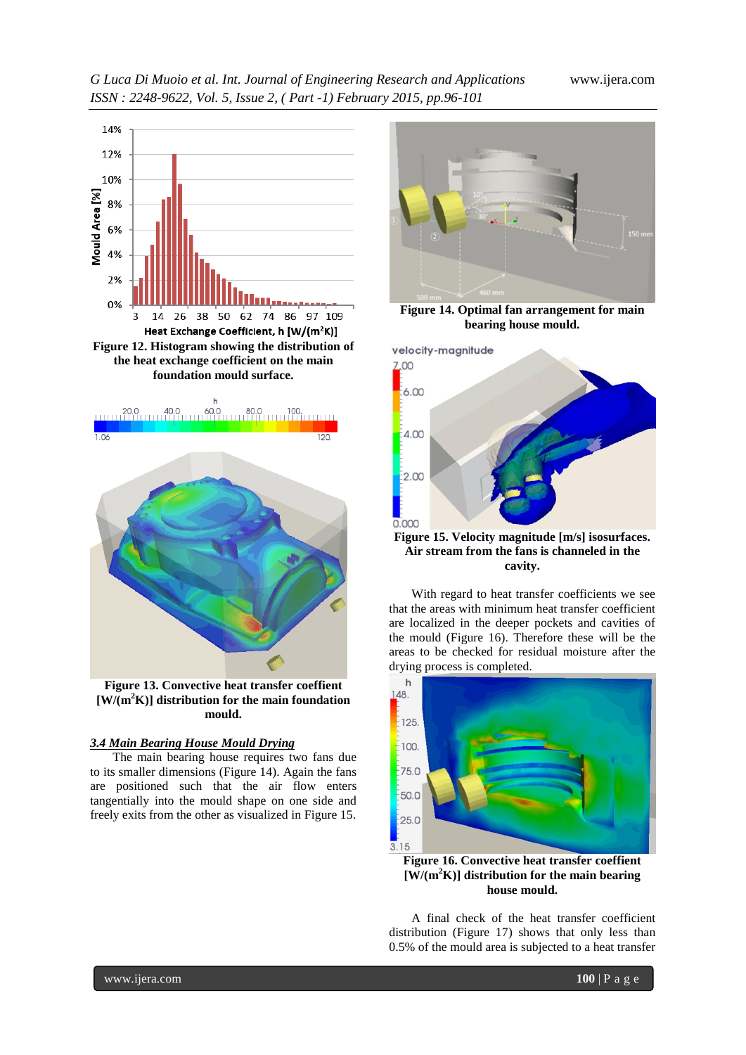# *G Luca Di Muoio et al. Int. Journal of Engineering Research and Applications* www.ijera.com *ISSN : 2248-9622, Vol. 5, Issue 2, ( Part -1) February 2015, pp.96-101*



**Figure 12. Histogram showing the distribution of the heat exchange coefficient on the main foundation mould surface.**



**Figure 13. Convective heat transfer coeffient [W/(m<sup>2</sup>K)] distribution for the main foundation mould.**

## *3.4 Main Bearing House Mould Drying*

The main bearing house requires two fans due to its smaller dimensions (Figure 14). Again the fans are positioned such that the air flow enters tangentially into the mould shape on one side and freely exits from the other as visualized in Figure 15.



**Figure 14. Optimal fan arrangement for main bearing house mould.**



**Figure 15. Velocity magnitude [m/s] isosurfaces. Air stream from the fans is channeled in the cavity.**

With regard to heat transfer coefficients we see that the areas with minimum heat transfer coefficient are localized in the deeper pockets and cavities of the mould (Figure 16). Therefore these will be the areas to be checked for residual moisture after the drying process is completed.



**[W/(m<sup>2</sup>K)] distribution for the main bearing house mould.**

A final check of the heat transfer coefficient distribution (Figure 17) shows that only less than 0.5% of the mould area is subjected to a heat transfer